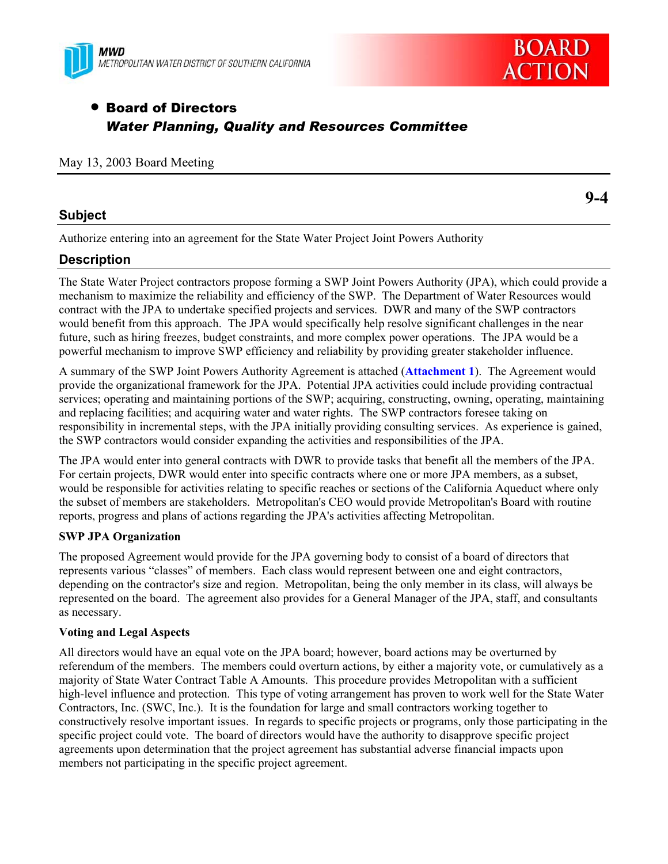



# **• Board of Directors** *Water Planning, Quality and Resources Committee*

#### May 13, 2003 Board Meeting

#### **Subject**

Authorize entering into an agreement for the State Water Project Joint Powers Authority

## **Description**

The State Water Project contractors propose forming a SWP Joint Powers Authority (JPA), which could provide a mechanism to maximize the reliability and efficiency of the SWP. The Department of Water Resources would contract with the JPA to undertake specified projects and services. DWR and many of the SWP contractors would benefit from this approach. The JPA would specifically help resolve significant challenges in the near future, such as hiring freezes, budget constraints, and more complex power operations. The JPA would be a powerful mechanism to improve SWP efficiency and reliability by providing greater stakeholder influence.

A summary of the SWP Joint Powers Authority Agreement is attached (**Attachment 1**). The Agreement would provide the organizational framework for the JPA. Potential JPA activities could include providing contractual services; operating and maintaining portions of the SWP; acquiring, constructing, owning, operating, maintaining and replacing facilities; and acquiring water and water rights. The SWP contractors foresee taking on responsibility in incremental steps, with the JPA initially providing consulting services. As experience is gained, the SWP contractors would consider expanding the activities and responsibilities of the JPA.

The JPA would enter into general contracts with DWR to provide tasks that benefit all the members of the JPA. For certain projects, DWR would enter into specific contracts where one or more JPA members, as a subset, would be responsible for activities relating to specific reaches or sections of the California Aqueduct where only the subset of members are stakeholders. Metropolitan's CEO would provide Metropolitan's Board with routine reports, progress and plans of actions regarding the JPA's activities affecting Metropolitan.

#### **SWP JPA Organization**

The proposed Agreement would provide for the JPA governing body to consist of a board of directors that represents various "classes" of members. Each class would represent between one and eight contractors, depending on the contractor's size and region. Metropolitan, being the only member in its class, will always be represented on the board. The agreement also provides for a General Manager of the JPA, staff, and consultants as necessary.

#### **Voting and Legal Aspects**

All directors would have an equal vote on the JPA board; however, board actions may be overturned by referendum of the members. The members could overturn actions, by either a majority vote, or cumulatively as a majority of State Water Contract Table A Amounts. This procedure provides Metropolitan with a sufficient high-level influence and protection. This type of voting arrangement has proven to work well for the State Water Contractors, Inc. (SWC, Inc.). It is the foundation for large and small contractors working together to constructively resolve important issues. In regards to specific projects or programs, only those participating in the specific project could vote. The board of directors would have the authority to disapprove specific project agreements upon determination that the project agreement has substantial adverse financial impacts upon members not participating in the specific project agreement.

**9-4**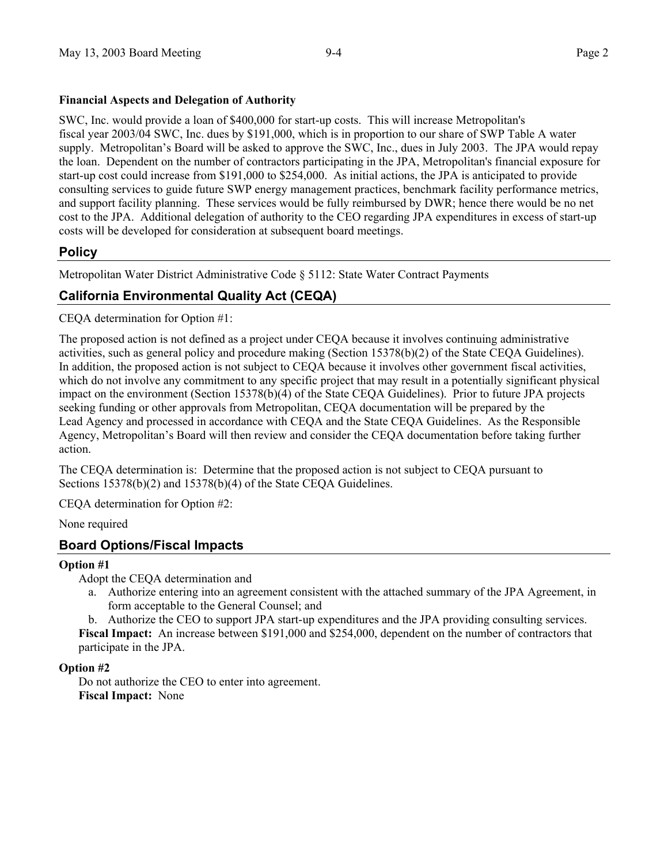#### **Financial Aspects and Delegation of Authority**

SWC, Inc. would provide a loan of \$400,000 for start-up costs. This will increase Metropolitan's fiscal year 2003/04 SWC, Inc. dues by \$191,000, which is in proportion to our share of SWP Table A water supply. Metropolitan's Board will be asked to approve the SWC, Inc., dues in July 2003. The JPA would repay the loan. Dependent on the number of contractors participating in the JPA, Metropolitan's financial exposure for start-up cost could increase from \$191,000 to \$254,000. As initial actions, the JPA is anticipated to provide consulting services to guide future SWP energy management practices, benchmark facility performance metrics, and support facility planning. These services would be fully reimbursed by DWR; hence there would be no net cost to the JPA. Additional delegation of authority to the CEO regarding JPA expenditures in excess of start-up costs will be developed for consideration at subsequent board meetings.

### **Policy**

Metropolitan Water District Administrative Code § 5112: State Water Contract Payments

## **California Environmental Quality Act (CEQA)**

CEQA determination for Option #1:

The proposed action is not defined as a project under CEQA because it involves continuing administrative activities, such as general policy and procedure making (Section 15378(b)(2) of the State CEQA Guidelines). In addition, the proposed action is not subject to CEQA because it involves other government fiscal activities, which do not involve any commitment to any specific project that may result in a potentially significant physical impact on the environment (Section 15378(b)(4) of the State CEQA Guidelines). Prior to future JPA projects seeking funding or other approvals from Metropolitan, CEQA documentation will be prepared by the Lead Agency and processed in accordance with CEQA and the State CEQA Guidelines. As the Responsible Agency, Metropolitan's Board will then review and consider the CEQA documentation before taking further action.

The CEQA determination is: Determine that the proposed action is not subject to CEQA pursuant to Sections 15378(b)(2) and 15378(b)(4) of the State CEQA Guidelines.

CEQA determination for Option #2:

None required

## **Board Options/Fiscal Impacts**

#### **Option #1**

Adopt the CEQA determination and

a. Authorize entering into an agreement consistent with the attached summary of the JPA Agreement, in form acceptable to the General Counsel; and

b. Authorize the CEO to support JPA start-up expenditures and the JPA providing consulting services. **Fiscal Impact:** An increase between \$191,000 and \$254,000, dependent on the number of contractors that participate in the JPA.

#### **Option #2**

Do not authorize the CEO to enter into agreement. **Fiscal Impact:** None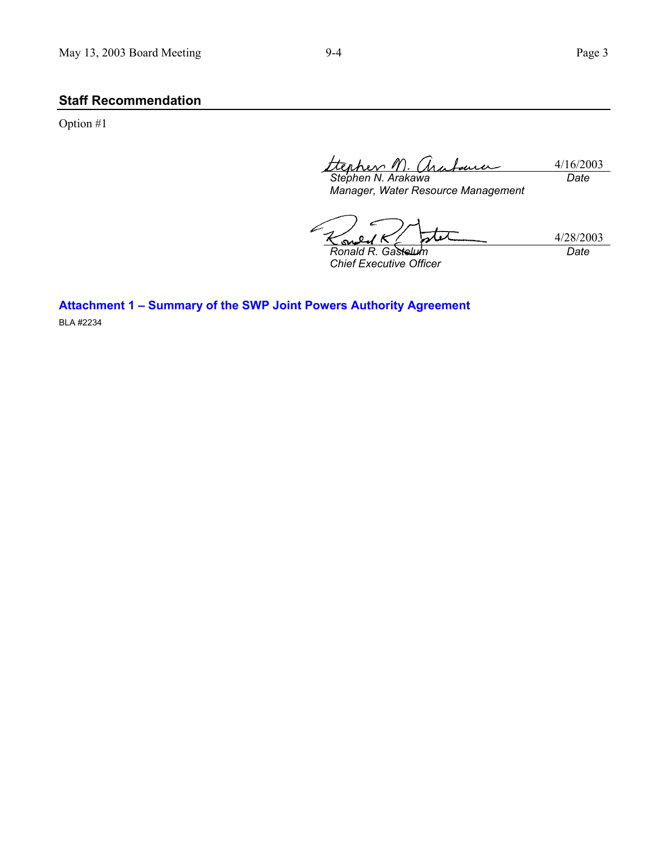# **Staff Recommendation**

Option #1

tterher M 4/16/2003 *Date*

*Stephen N. Arakawa Manager, Water Resource Management* 

4/28/2003 S *Ronald R. Gastelum Date*

*Chief Executive Officer* 

**Attachment 1 – Summary of the SWP Joint Powers Authority Agreement**  BLA #2234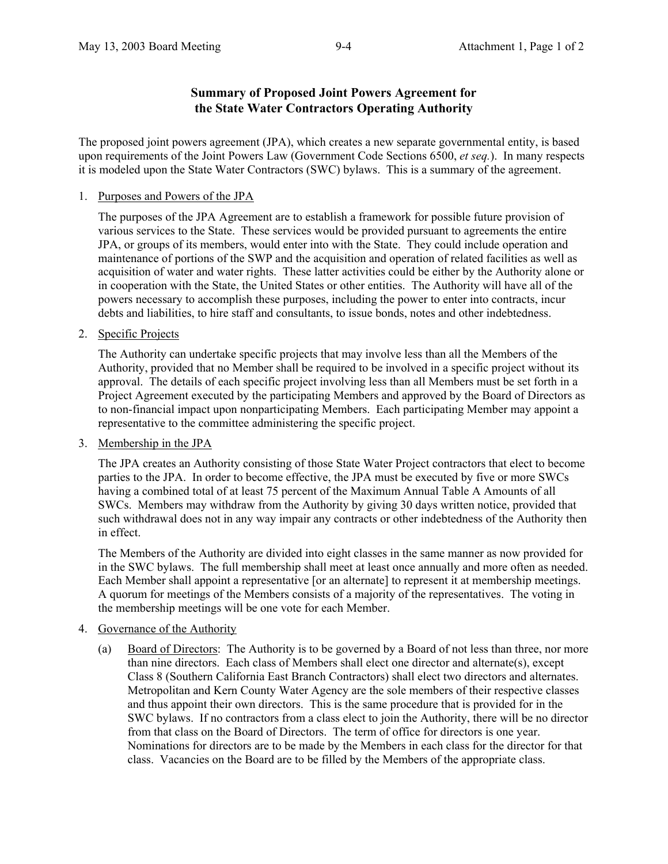### **Summary of Proposed Joint Powers Agreement for the State Water Contractors Operating Authority**

The proposed joint powers agreement (JPA), which creates a new separate governmental entity, is based upon requirements of the Joint Powers Law (Government Code Sections 6500, *et seq.*). In many respects it is modeled upon the State Water Contractors (SWC) bylaws. This is a summary of the agreement.

1. Purposes and Powers of the JPA

The purposes of the JPA Agreement are to establish a framework for possible future provision of various services to the State. These services would be provided pursuant to agreements the entire JPA, or groups of its members, would enter into with the State. They could include operation and maintenance of portions of the SWP and the acquisition and operation of related facilities as well as acquisition of water and water rights. These latter activities could be either by the Authority alone or in cooperation with the State, the United States or other entities. The Authority will have all of the powers necessary to accomplish these purposes, including the power to enter into contracts, incur debts and liabilities, to hire staff and consultants, to issue bonds, notes and other indebtedness.

2. Specific Projects

The Authority can undertake specific projects that may involve less than all the Members of the Authority, provided that no Member shall be required to be involved in a specific project without its approval. The details of each specific project involving less than all Members must be set forth in a Project Agreement executed by the participating Members and approved by the Board of Directors as to non-financial impact upon nonparticipating Members. Each participating Member may appoint a representative to the committee administering the specific project.

3. Membership in the JPA

The JPA creates an Authority consisting of those State Water Project contractors that elect to become parties to the JPA. In order to become effective, the JPA must be executed by five or more SWCs having a combined total of at least 75 percent of the Maximum Annual Table A Amounts of all SWCs. Members may withdraw from the Authority by giving 30 days written notice, provided that such withdrawal does not in any way impair any contracts or other indebtedness of the Authority then in effect.

The Members of the Authority are divided into eight classes in the same manner as now provided for in the SWC bylaws. The full membership shall meet at least once annually and more often as needed. Each Member shall appoint a representative [or an alternate] to represent it at membership meetings. A quorum for meetings of the Members consists of a majority of the representatives. The voting in the membership meetings will be one vote for each Member.

- 4. Governance of the Authority
	- (a) Board of Directors: The Authority is to be governed by a Board of not less than three, nor more than nine directors. Each class of Members shall elect one director and alternate(s), except Class 8 (Southern California East Branch Contractors) shall elect two directors and alternates. Metropolitan and Kern County Water Agency are the sole members of their respective classes and thus appoint their own directors. This is the same procedure that is provided for in the SWC bylaws. If no contractors from a class elect to join the Authority, there will be no director from that class on the Board of Directors. The term of office for directors is one year. Nominations for directors are to be made by the Members in each class for the director for that class. Vacancies on the Board are to be filled by the Members of the appropriate class.